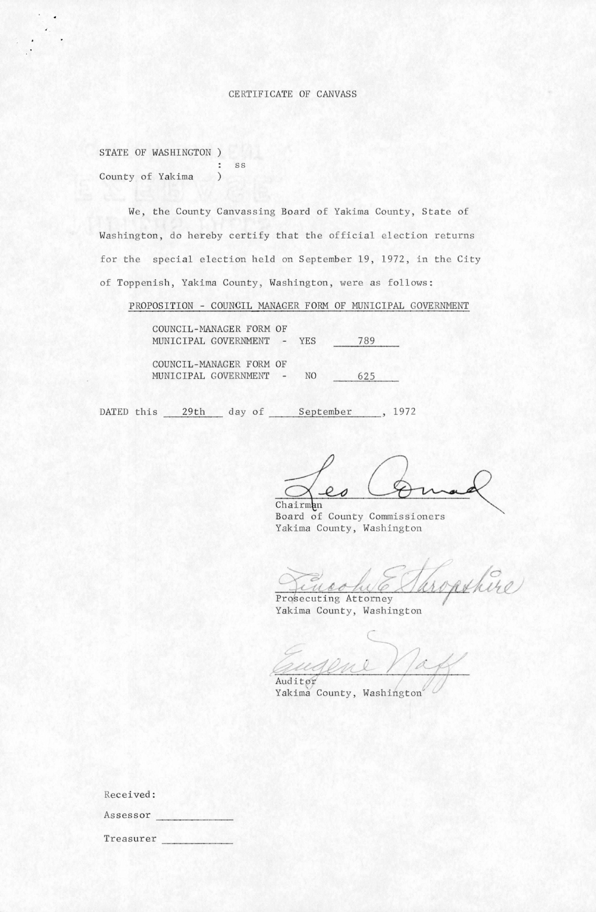## CERTIFICATE OF CANVASS

|  | STATE OF WASHINGTON ) |    |
|--|-----------------------|----|
|  |                       | SS |
|  | County of Yakima      |    |

We, the County Canvassing Board of Yakima County, State of Washington, do hereby certify that the official election returns for the special election held on September 19, 1972, in the City of Toppenish, Yakima County, Washington, were as follows:

PROPOSITION - COUNCIL MANAGER FORM OF MUNICIPAL GOVERNMENT

COUNCIL-MANAGER FORM OF MUNICIPAL GOVERNMENT - YES 789 COUNCIL-MANAGER FORM OF MUNICIPAL GOVERNMENT - NO 625

DATED this 29th day of September , 1972

 $20$ Chairman

Board of County Commissioners Yakima County, Washington

opshire

Prosecuting Attorney Yakima County, Washington

Auditor

Yakima County, Washington'

| Received: |  |
|-----------|--|
| Assessor  |  |
| Treasurer |  |